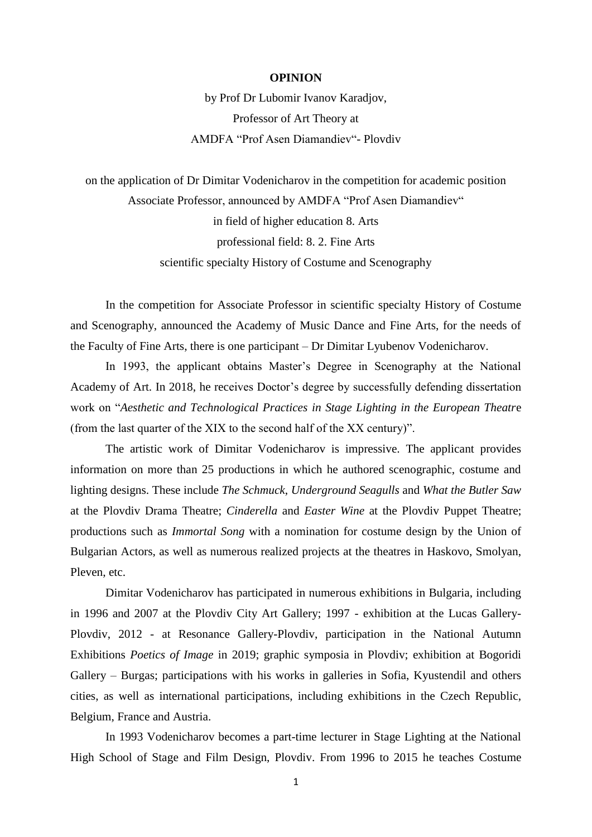## **OPINION**

by Prof Dr Lubomir Ivanov Karadjov, Professor of Art Theory at AMDFA "Prof Asen Diamandiev"- Plovdiv

on the application of Dr Dimitar Vodenicharov in the competition for academic position Associate Professor, announced by AMDFA "Prof Asen Diamandiev" in field of higher education 8. Arts professional field: 8. 2. Fine Arts scientific specialty History of Costume and Scenography

In the competition for Associate Professor in scientific specialty History of Costume and Scenography, announced the Academy of Music Dance and Fine Arts, for the needs of the Faculty of Fine Arts, there is one participant – Dr Dimitar Lyubenov Vodenicharov.

In 1993, the applicant obtains Master's Degree in Scenography at the National Academy of Art. In 2018, he receives Doctor's degree by successfully defending dissertation work on "*Aesthetic and Technological Practices in Stage Lighting in the European Theatr*e (from the last quarter of the XIX to the second half of the XX century)".

The artistic work of Dimitar Vodenicharov is impressive. The applicant provides information on more than 25 productions in which he authored scenographic, costume and lighting designs. These include *The Schmuck*, *Underground Seagulls* and *What the Butler Saw* at the Plovdiv Drama Theatre; *Cinderella* and *Easter Wine* at the Plovdiv Puppet Theatre; productions such as *Immortal Song* with a nomination for costume design by the Union of Bulgarian Actors, as well as numerous realized projects at the theatres in Haskovo, Smolyan, Pleven, etc.

Dimitar Vodenicharov has participated in numerous exhibitions in Bulgaria, including in 1996 and 2007 at the Plovdiv City Art Gallery; 1997 - exhibition at the Lucas Gallery-Plovdiv, 2012 - at Resonance Gallery-Plovdiv, participation in the National Autumn Exhibitions *Poetics of Image* in 2019; graphic symposia in Plovdiv; exhibition at Bogoridi Gallery – Burgas; participations with his works in galleries in Sofia, Kyustendil and others cities, as well as international participations, including exhibitions in the Czech Republic, Belgium, France and Austria.

In 1993 Vodenicharov becomes a part-time lecturer in Stage Lighting at the National High School of Stage and Film Design, Plovdiv. From 1996 to 2015 he teaches Costume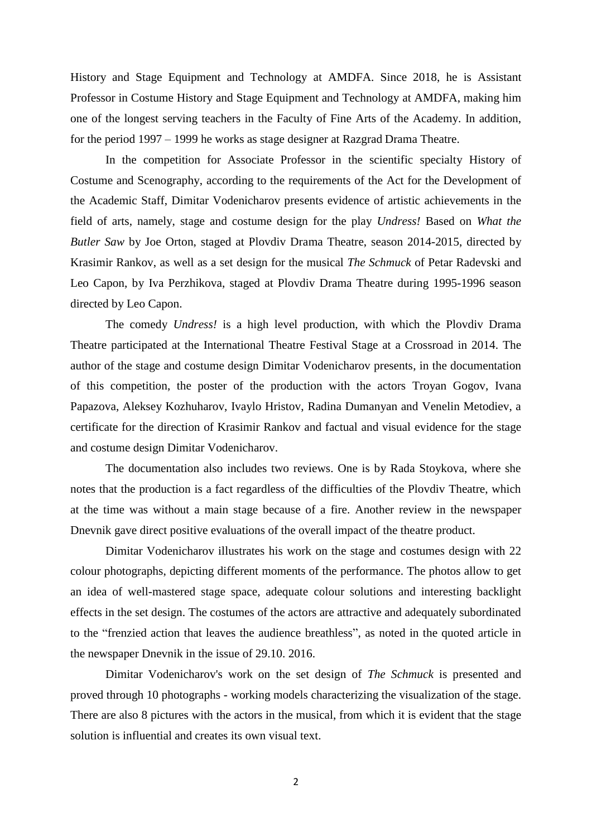History and Stage Equipment and Technology at AMDFA. Since 2018, he is Assistant Professor in Costume History and Stage Equipment and Technology at AMDFA, making him one of the longest serving teachers in the Faculty of Fine Arts of the Academy. In addition, for the period 1997 – 1999 he works as stage designer at Razgrad Drama Theatre.

In the competition for Associate Professor in the scientific specialty History of Costume and Scenography, according to the requirements of the Act for the Development of the Academic Staff, Dimitar Vodenicharov presents evidence of artistic achievements in the field of arts, namely, stage and costume design for the play *Undress!* Based on *What the Butler Saw* by Joe Orton, staged at Plovdiv Drama Theatre, season 2014-2015, directed by Krasimir Rankov, as well as a set design for the musical *The Schmuck* of Petar Radevski and Leo Capon, by Iva Perzhikova, staged at Plovdiv Drama Theatre during 1995-1996 season directed by Leo Capon.

The comedy *Undress!* is a high level production, with which the Plovdiv Drama Theatre participated at the International Theatre Festival Stage at a Crossroad in 2014. The author of the stage and costume design Dimitar Vodenicharov presents, in the documentation of this competition, the poster of the production with the actors Troyan Gogov, Ivana Papazova, Aleksey Kozhuharov, Ivaylo Hristov, Radina Dumanyan and Venelin Metodiev, a certificate for the direction of Krasimir Rankov and factual and visual evidence for the stage and costume design Dimitar Vodenicharov.

The documentation also includes two reviews. One is by Rada Stoykova, where she notes that the production is a fact regardless of the difficulties of the Plovdiv Theatre, which at the time was without a main stage because of a fire. Another review in the newspaper Dnevnik gave direct positive evaluations of the overall impact of the theatre product.

Dimitar Vodenicharov illustrates his work on the stage and costumes design with 22 colour photographs, depicting different moments of the performance. The photos allow to get an idea of well-mastered stage space, adequate colour solutions and interesting backlight effects in the set design. The costumes of the actors are attractive and adequately subordinated to the "frenzied action that leaves the audience breathless", as noted in the quoted article in the newspaper Dnevnik in the issue of 29.10. 2016.

Dimitar Vodenicharov's work on the set design of *The Schmuck* is presented and proved through 10 photographs - working models characterizing the visualization of the stage. There are also 8 pictures with the actors in the musical, from which it is evident that the stage solution is influential and creates its own visual text.